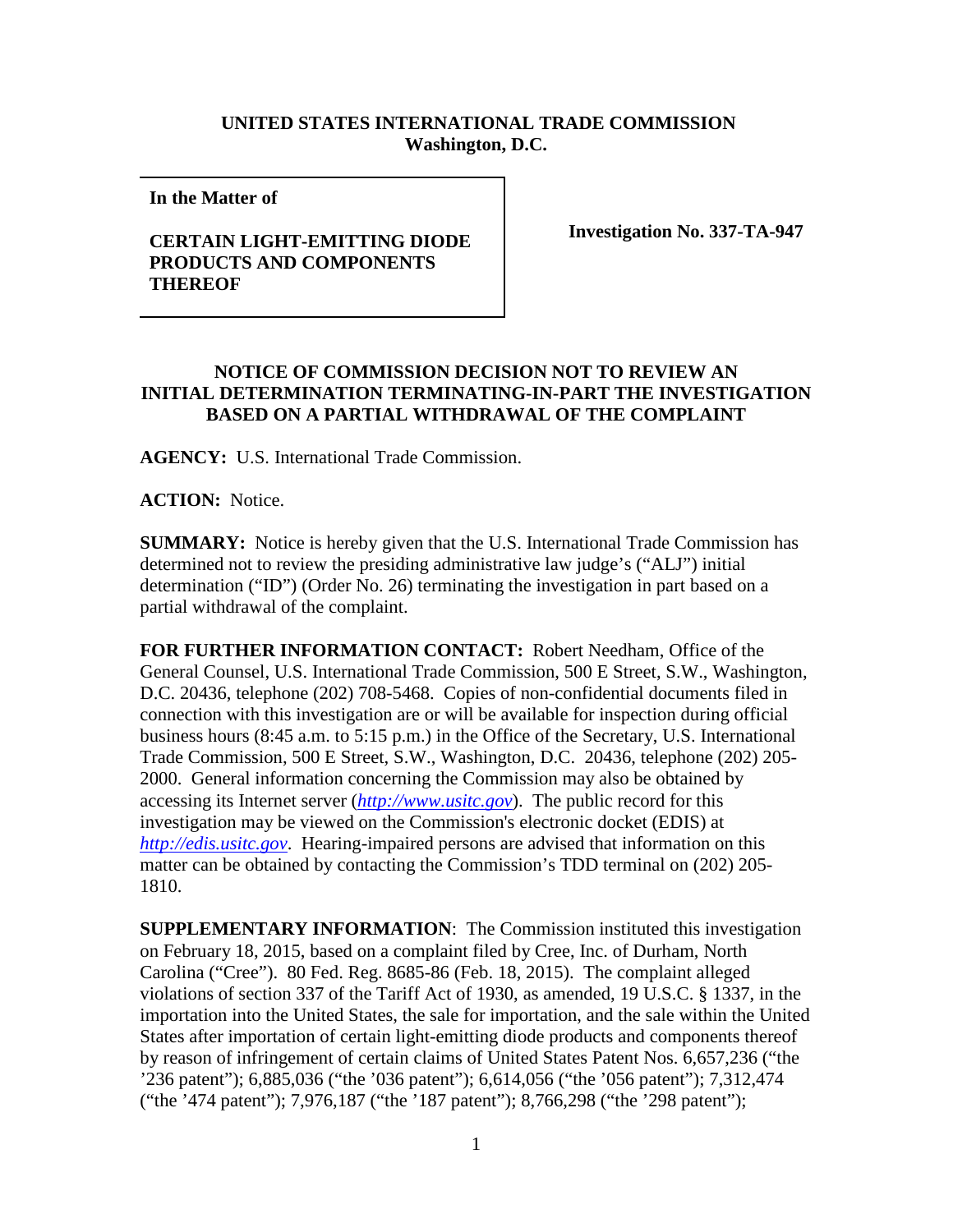## **UNITED STATES INTERNATIONAL TRADE COMMISSION Washington, D.C.**

**In the Matter of** 

## **CERTAIN LIGHT-EMITTING DIODE PRODUCTS AND COMPONENTS THEREOF**

**Investigation No. 337-TA-947**

## **NOTICE OF COMMISSION DECISION NOT TO REVIEW AN INITIAL DETERMINATION TERMINATING-IN-PART THE INVESTIGATION BASED ON A PARTIAL WITHDRAWAL OF THE COMPLAINT**

**AGENCY:** U.S. International Trade Commission.

**ACTION:** Notice.

**SUMMARY:** Notice is hereby given that the U.S. International Trade Commission has determined not to review the presiding administrative law judge's ("ALJ") initial determination ("ID") (Order No. 26) terminating the investigation in part based on a partial withdrawal of the complaint.

**FOR FURTHER INFORMATION CONTACT:** Robert Needham, Office of the General Counsel, U.S. International Trade Commission, 500 E Street, S.W., Washington, D.C. 20436, telephone (202) 708-5468. Copies of non-confidential documents filed in connection with this investigation are or will be available for inspection during official business hours (8:45 a.m. to 5:15 p.m.) in the Office of the Secretary, U.S. International Trade Commission, 500 E Street, S.W., Washington, D.C. 20436, telephone (202) 205- 2000. General information concerning the Commission may also be obtained by accessing its Internet server (*[http://www.usitc.gov](http://www.usitc.gov/)*). The public record for this investigation may be viewed on the Commission's electronic docket (EDIS) at *[http://edis.usitc.gov](http://edis.usitc.gov/)*. Hearing-impaired persons are advised that information on this matter can be obtained by contacting the Commission's TDD terminal on (202) 205- 1810.

**SUPPLEMENTARY INFORMATION**: The Commission instituted this investigation on February 18, 2015, based on a complaint filed by Cree, Inc. of Durham, North Carolina ("Cree"). 80 Fed. Reg. 8685-86 (Feb. 18, 2015). The complaint alleged violations of section 337 of the Tariff Act of 1930, as amended, 19 U.S.C. § 1337, in the importation into the United States, the sale for importation, and the sale within the United States after importation of certain light-emitting diode products and components thereof by reason of infringement of certain claims of United States Patent Nos. 6,657,236 ("the '236 patent"); 6,885,036 ("the '036 patent"); 6,614,056 ("the '056 patent"); 7,312,474 ("the '474 patent"); 7,976,187 ("the '187 patent"); 8,766,298 ("the '298 patent");